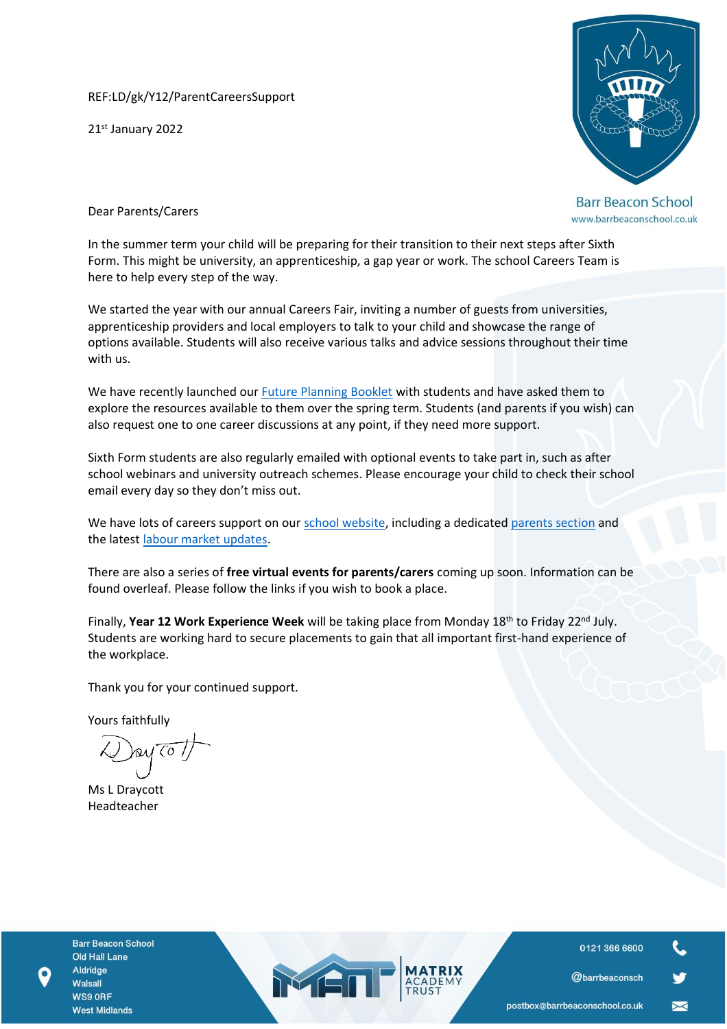REF:LD/gk/Y12/ParentCareersSupport

21st January 2022



**Barr Beacon School** www.barrbeaconschool.co.uk

Dear Parents/Carers

In the summer term your child will be preparing for their transition to their next steps after Sixth Form. This might be university, an apprenticeship, a gap year or work. The school Careers Team is here to help every step of the way.

We started the year with our annual Careers Fair, inviting a number of guests from universities, apprenticeship providers and local employers to talk to your child and showcase the range of options available. Students will also receive various talks and advice sessions throughout their time with us.

We have recently launched our *Future Planning Booklet* with students and have asked them to explore the resources available to them over the spring term. Students (and parents if you wish) can also request one to one career discussions at any point, if they need more support.

Sixth Form students are also regularly emailed with optional events to take part in, such as after school webinars and university outreach schemes. Please encourage your child to check their school email every day so they don't miss out.

We have lots of careers support on our [school website,](https://matrixacademytrust.co.uk/careers/barr-beacon-school/) including a dedicated [parents section](https://matrixacademytrust.co.uk/careers/) and the latest [labour market updates.](https://matrixacademytrust.co.uk/careers/wp-content/uploads/2021/02/LMI-Parent-and-Student-Guide.pdf)

There are also a series of **free virtual events for parents/carers** coming up soon. Information can be found overleaf. Please follow the links if you wish to book a place.

Finally, **Year 12 Work Experience Week** will be taking place from Monday 18th to Friday 22nd July. Students are working hard to secure placements to gain that all important first-hand experience of the workplace.

MEI

Thank you for your continued support.

Yours faithfully

bay To

Ms L Draycott Headteacher

**Barr Beacon School** Old Hall Lane Aldridge Walsall WS9 ORF **West Midlands** 

0121 366 6600

@barrbeaconsch